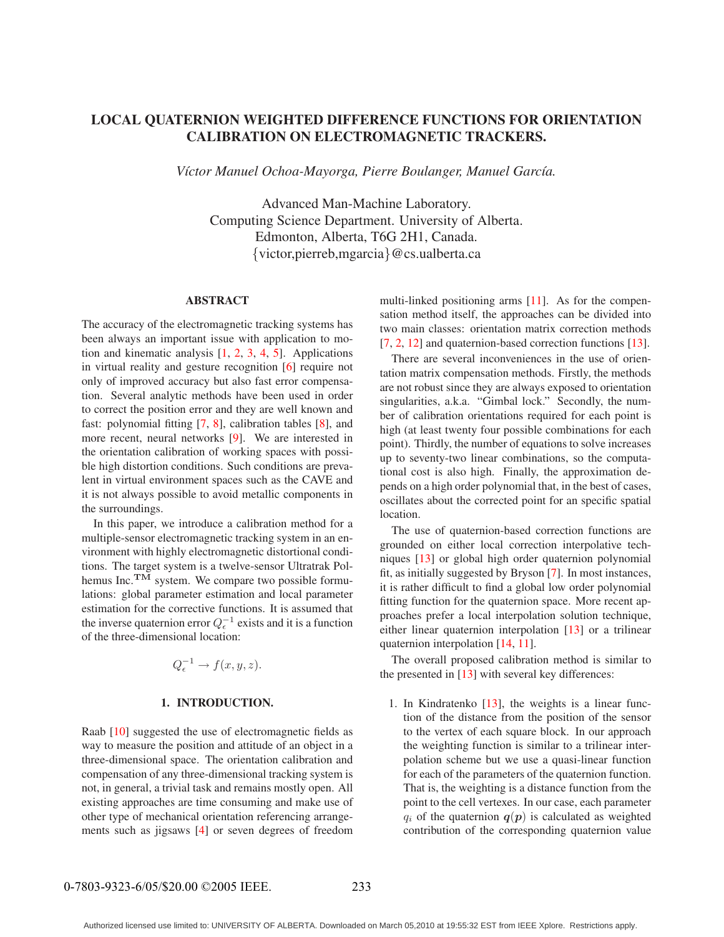# **LOCAL QUATERNION WEIGHTED DIFFERENCE FUNCTIONS FOR ORIENTATION CALIBRATION ON ELECTROMAGNETIC TRACKERS.**

*V´ıctor Manuel Ochoa-Mayorga, Pierre Boulanger, Manuel Garc´ıa.*

Advanced Man-Machine Laboratory. Computing Science Department. University of Alberta. Edmonton, Alberta, T6G 2H1, Canada. {victor,pierreb,mgarcia}@cs.ualberta.ca

### **ABSTRACT**

The accuracy of the electromagnetic tracking systems has been always an important issue with application to motion and kinematic analysis [1, 2, 3, 4, 5]. Applications in virtual reality and gesture recognition [6] require not only of improved accuracy but also fast error compensation. Several analytic methods have been used in order to correct the position error and they are well known and fast: polynomial fitting [7, 8], calibration tables [8], and more recent, neural networks [9]. We are interested in the orientation calibration of working spaces with possible high distortion conditions. Such conditions are prevalent in virtual environment spaces such as the CAVE and it is not always possible to avoid metallic components in the surroundings.

In this paper, we introduce a calibration method for a multiple-sensor electromagnetic tracking system in an environment with highly electromagnetic distortional conditions. The target system is a twelve-sensor Ultratrak Polhemus Inc.<sup>TM</sup> system. We compare two possible formulations: global parameter estimation and local parameter estimation for the corrective functions. It is assumed that the inverse quaternion error  $Q_{\epsilon}^{-1}$  exists and it is a function of the three-dimensional location:

$$
Q_{\epsilon}^{-1} \to f(x, y, z).
$$

## **1. INTRODUCTION.**

Raab [10] suggested the use of electromagnetic fields as way to measure the position and attitude of an object in a three-dimensional space. The orientation calibration and compensation of any three-dimensional tracking system is not, in general, a trivial task and remains mostly open. All existing approaches are time consuming and make use of other type of mechanical orientation referencing arrangements such as jigsaws [4] or seven degrees of freedom

multi-linked positioning arms [11]. As for the compensation method itself, the approaches can be divided into two main classes: orientation matrix correction methods [7, 2, 12] and quaternion-based correction functions [13].

There are several inconveniences in the use of orientation matrix compensation methods. Firstly, the methods are not robust since they are always exposed to orientation singularities, a.k.a. "Gimbal lock." Secondly, the number of calibration orientations required for each point is high (at least twenty four possible combinations for each point). Thirdly, the number of equations to solve increases up to seventy-two linear combinations, so the computational cost is also high. Finally, the approximation depends on a high order polynomial that, in the best of cases, oscillates about the corrected point for an specific spatial location.

The use of quaternion-based correction functions are grounded on either local correction interpolative techniques [13] or global high order quaternion polynomial fit, as initially suggested by Bryson [7]. In most instances, it is rather difficult to find a global low order polynomial fitting function for the quaternion space. More recent approaches prefer a local interpolation solution technique, either linear quaternion interpolation [13] or a trilinear quaternion interpolation [14, 11].

The overall proposed calibration method is similar to the presented in [13] with several key differences:

1. In Kindratenko [13], the weights is a linear function of the distance from the position of the sensor to the vertex of each square block. In our approach the weighting function is similar to a trilinear interpolation scheme but we use a quasi-linear function for each of the parameters of the quaternion function. That is, the weighting is a distance function from the point to the cell vertexes. In our case, each parameter  $q_i$  of the quaternion  $q(p)$  is calculated as weighted contribution of the corresponding quaternion value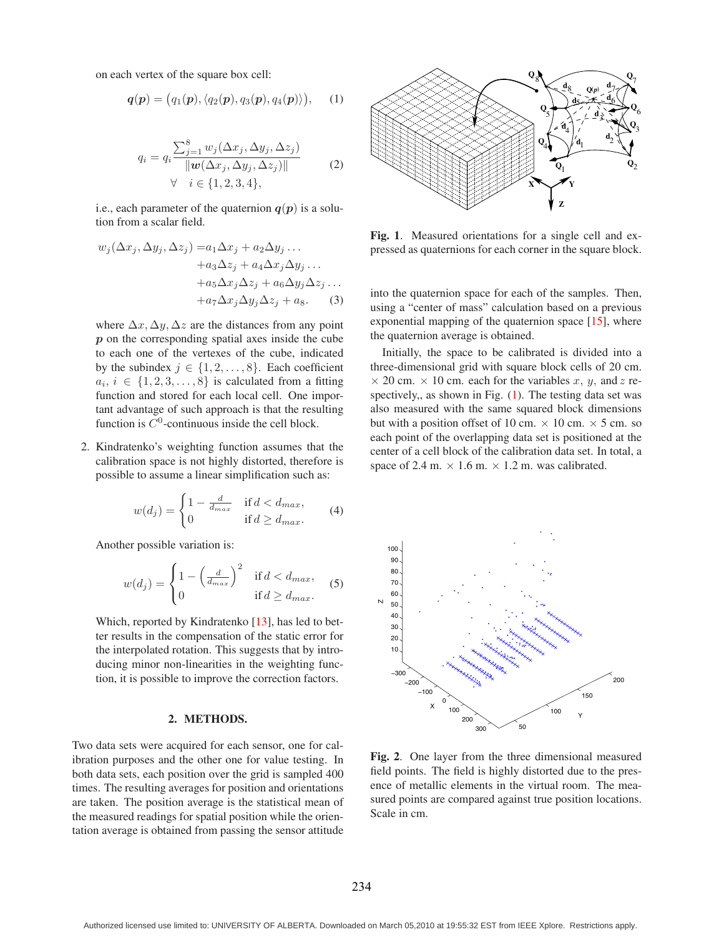on each vertex of the square box cell:

$$
\boldsymbol{q}(\boldsymbol{p}) = (q_1(\boldsymbol{p}), \langle q_2(\boldsymbol{p}), q_3(\boldsymbol{p}), q_4(\boldsymbol{p}) \rangle), \quad (1)
$$

$$
q_i = q_i \frac{\sum_{j=1}^8 w_j(\Delta x_j, \Delta y_j, \Delta z_j)}{\|\mathbf{w}(\Delta x_j, \Delta y_j, \Delta z_j)\|} \qquad (2)
$$
  

$$
\forall \quad i \in \{1, 2, 3, 4\},
$$

i.e., each parameter of the quaternion  $q(p)$  is a solution from a scalar field.

$$
w_j(\Delta x_j, \Delta y_j, \Delta z_j) = a_1 \Delta x_j + a_2 \Delta y_j ... + a_3 \Delta z_j + a_4 \Delta x_j \Delta y_j ... + a_5 \Delta x_j \Delta z_j + a_6 \Delta y_j \Delta z_j ... + a_7 \Delta x_j \Delta y_j \Delta z_j + a_8.
$$
 (3)

where  $\Delta x, \Delta y, \Delta z$  are the distances from any point *p* on the corresponding spatial axes inside the cube to each one of the vertexes of the cube, indicated by the subindex  $j \in \{1, 2, \ldots, 8\}$ . Each coefficient  $a_i, i \in \{1, 2, 3, \ldots, 8\}$  is calculated from a fitting function and stored for each local cell. One important advantage of such approach is that the resulting function is  $C^0$ -continuous inside the cell block.

2. Kindratenko's weighting function assumes that the calibration space is not highly distorted, therefore is possible to assume a linear simplification such as:

$$
w(d_j) = \begin{cases} 1 - \frac{d}{d_{max}} & \text{if } d < d_{max}, \\ 0 & \text{if } d \ge d_{max}. \end{cases} \tag{4}
$$

Another possible variation is:

$$
w(d_j) = \begin{cases} 1 - \left(\frac{d}{d_{max}}\right)^2 & \text{if } d < d_{max}, \\ 0 & \text{if } d \ge d_{max}. \end{cases} \tag{5}
$$

Which, reported by Kindratenko [13], has led to better results in the compensation of the static error for the interpolated rotation. This suggests that by introducing minor non-linearities in the weighting function, it is possible to improve the correction factors.

### **2. METHODS.**

Two data sets were acquired for each sensor, one for calibration purposes and the other one for value testing. In both data sets, each position over the grid is sampled 400 times. The resulting averages for position and orientations are taken. The position average is the statistical mean of the measured readings for spatial position while the orientation average is obtained from passing the sensor attitude



**Fig. 1**. Measured orientations for a single cell and expressed as quaternions for each corner in the square block.

into the quaternion space for each of the samples. Then, using a "center of mass" calculation based on a previous exponential mapping of the quaternion space [15], where the quaternion average is obtained.

Initially, the space to be calibrated is divided into a three-dimensional grid with square block cells of 20 cm.  $\times$  20 cm.  $\times$  10 cm. each for the variables x, y, and z respectively,, as shown in Fig. (1). The testing data set was also measured with the same squared block dimensions but with a position offset of 10 cm.  $\times$  10 cm.  $\times$  5 cm. so each point of the overlapping data set is positioned at the center of a cell block of the calibration data set. In total, a space of 2.4 m.  $\times$  1.6 m.  $\times$  1.2 m. was calibrated.



**Fig. 2**. One layer from the three dimensional measured field points. The field is highly distorted due to the presence of metallic elements in the virtual room. The measured points are compared against true position locations. Scale in cm.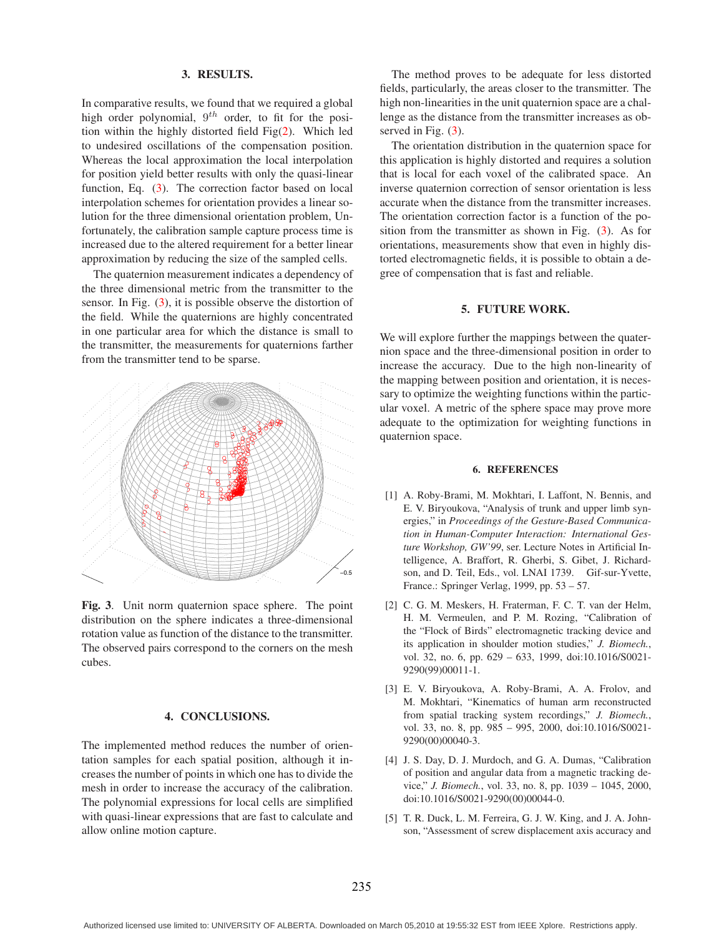### **3. RESULTS.**

In comparative results, we found that we required a global high order polynomial,  $9^{th}$  order, to fit for the position within the highly distorted field Fig(2). Which led to undesired oscillations of the compensation position. Whereas the local approximation the local interpolation for position yield better results with only the quasi-linear function, Eq. (3). The correction factor based on local interpolation schemes for orientation provides a linear solution for the three dimensional orientation problem, Unfortunately, the calibration sample capture process time is increased due to the altered requirement for a better linear approximation by reducing the size of the sampled cells.

The quaternion measurement indicates a dependency of the three dimensional metric from the transmitter to the sensor. In Fig. (3), it is possible observe the distortion of the field. While the quaternions are highly concentrated in one particular area for which the distance is small to the transmitter, the measurements for quaternions farther from the transmitter tend to be sparse.



**Fig. 3**. Unit norm quaternion space sphere. The point distribution on the sphere indicates a three-dimensional rotation value as function of the distance to the transmitter. The observed pairs correspond to the corners on the mesh cubes.

### **4. CONCLUSIONS.**

The implemented method reduces the number of orientation samples for each spatial position, although it increases the number of points in which one has to divide the mesh in order to increase the accuracy of the calibration. The polynomial expressions for local cells are simplified with quasi-linear expressions that are fast to calculate and allow online motion capture.

The method proves to be adequate for less distorted fields, particularly, the areas closer to the transmitter. The high non-linearities in the unit quaternion space are a challenge as the distance from the transmitter increases as observed in Fig. (3).

The orientation distribution in the quaternion space for this application is highly distorted and requires a solution that is local for each voxel of the calibrated space. An inverse quaternion correction of sensor orientation is less accurate when the distance from the transmitter increases. The orientation correction factor is a function of the position from the transmitter as shown in Fig. (3). As for orientations, measurements show that even in highly distorted electromagnetic fields, it is possible to obtain a degree of compensation that is fast and reliable.

### **5. FUTURE WORK.**

We will explore further the mappings between the quaternion space and the three-dimensional position in order to increase the accuracy. Due to the high non-linearity of the mapping between position and orientation, it is necessary to optimize the weighting functions within the particular voxel. A metric of the sphere space may prove more adequate to the optimization for weighting functions in quaternion space.

#### **6. REFERENCES**

- [1] A. Roby-Brami, M. Mokhtari, I. Laffont, N. Bennis, and E. V. Biryoukova, "Analysis of trunk and upper limb synergies," in *Proceedings of the Gesture-Based Communication in Human-Computer Interaction: International Gesture Workshop, GW'99*, ser. Lecture Notes in Artificial Intelligence, A. Braffort, R. Gherbi, S. Gibet, J. Richardson, and D. Teil, Eds., vol. LNAI 1739. Gif-sur-Yvette, France.: Springer Verlag, 1999, pp. 53 – 57.
- [2] C. G. M. Meskers, H. Fraterman, F. C. T. van der Helm, H. M. Vermeulen, and P. M. Rozing, "Calibration of the "Flock of Birds" electromagnetic tracking device and its application in shoulder motion studies," *J. Biomech.*, vol. 32, no. 6, pp. 629 – 633, 1999, doi:10.1016/S0021- 9290(99)00011-1.
- [3] E. V. Biryoukova, A. Roby-Brami, A. A. Frolov, and M. Mokhtari, "Kinematics of human arm reconstructed from spatial tracking system recordings," *J. Biomech.*, vol. 33, no. 8, pp. 985 – 995, 2000, doi:10.1016/S0021- 9290(00)00040-3.
- [4] J. S. Day, D. J. Murdoch, and G. A. Dumas, "Calibration of position and angular data from a magnetic tracking device," *J. Biomech.*, vol. 33, no. 8, pp. 1039 – 1045, 2000, doi:10.1016/S0021-9290(00)00044-0.
- [5] T. R. Duck, L. M. Ferreira, G. J. W. King, and J. A. Johnson, "Assessment of screw displacement axis accuracy and